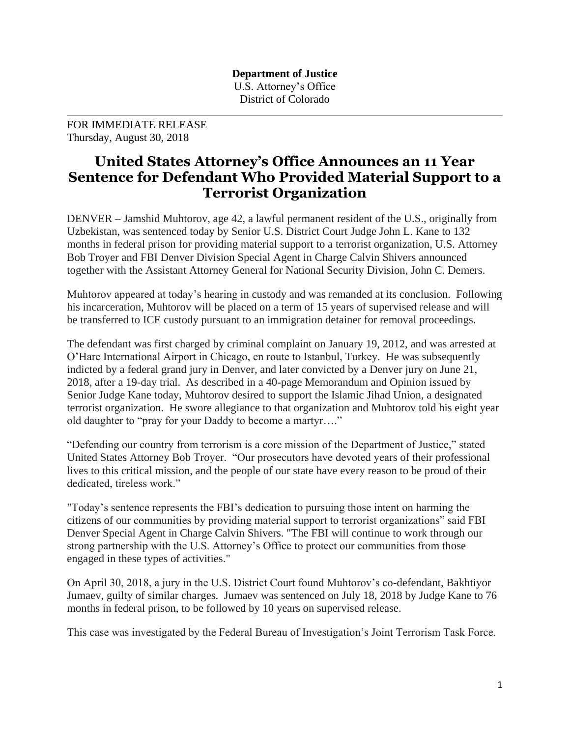**Department of Justice** U.S. Attorney's Office District of Colorado

FOR IMMEDIATE RELEASE Thursday, August 30, 2018

## **United States Attorney's Office Announces an 11 Year Sentence for Defendant Who Provided Material Support to a Terrorist Organization**

DENVER – Jamshid Muhtorov, age 42, a lawful permanent resident of the U.S., originally from Uzbekistan, was sentenced today by Senior U.S. District Court Judge John L. Kane to 132 months in federal prison for providing material support to a terrorist organization, U.S. Attorney Bob Troyer and FBI Denver Division Special Agent in Charge Calvin Shivers announced together with the Assistant Attorney General for National Security Division, John C. Demers.

Muhtorov appeared at today's hearing in custody and was remanded at its conclusion. Following his incarceration, Muhtorov will be placed on a term of 15 years of supervised release and will be transferred to ICE custody pursuant to an immigration detainer for removal proceedings.

The defendant was first charged by criminal complaint on January 19, 2012, and was arrested at O'Hare International Airport in Chicago, en route to Istanbul, Turkey. He was subsequently indicted by a federal grand jury in Denver, and later convicted by a Denver jury on June 21, 2018, after a 19-day trial. As described in a 40-page Memorandum and Opinion issued by Senior Judge Kane today, Muhtorov desired to support the Islamic Jihad Union, a designated terrorist organization. He swore allegiance to that organization and Muhtorov told his eight year old daughter to "pray for your Daddy to become a martyr…."

"Defending our country from terrorism is a core mission of the Department of Justice," stated United States Attorney Bob Troyer. "Our prosecutors have devoted years of their professional lives to this critical mission, and the people of our state have every reason to be proud of their dedicated, tireless work."

"Today's sentence represents the FBI's dedication to pursuing those intent on harming the citizens of our communities by providing material support to terrorist organizations" said FBI Denver Special Agent in Charge Calvin Shivers. "The FBI will continue to work through our strong partnership with the U.S. Attorney's Office to protect our communities from those engaged in these types of activities."

On April 30, 2018, a jury in the U.S. District Court found Muhtorov's co-defendant, Bakhtiyor Jumaev, guilty of similar charges. Jumaev was sentenced on July 18, 2018 by Judge Kane to 76 months in federal prison, to be followed by 10 years on supervised release.

This case was investigated by the Federal Bureau of Investigation's Joint Terrorism Task Force.